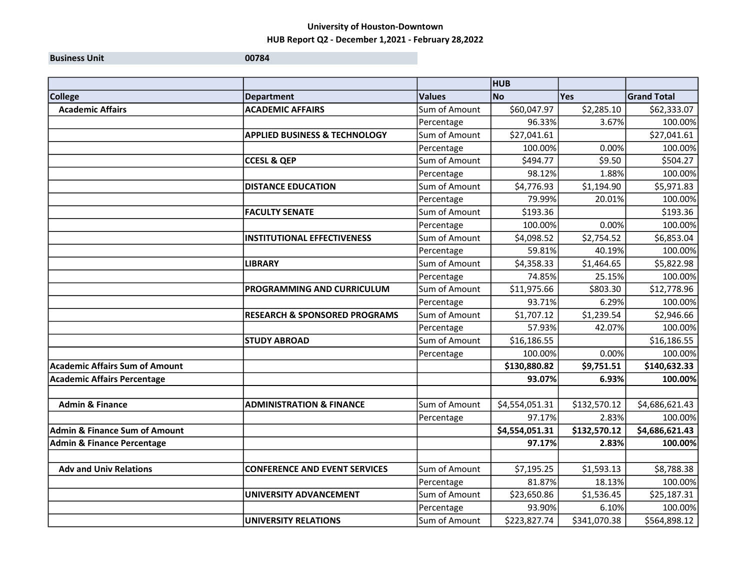**Business Unit 100784** 

|                                          |                                          |               | <b>HUB</b>     |              |                    |
|------------------------------------------|------------------------------------------|---------------|----------------|--------------|--------------------|
| <b>College</b>                           | <b>Department</b>                        | <b>Values</b> | <b>No</b>      | <b>Yes</b>   | <b>Grand Total</b> |
| <b>Academic Affairs</b>                  | <b>ACADEMIC AFFAIRS</b>                  | Sum of Amount | \$60,047.97    | \$2,285.10   | \$62,333.07        |
|                                          |                                          | Percentage    | 96.33%         | 3.67%        | 100.00%            |
|                                          | <b>APPLIED BUSINESS &amp; TECHNOLOGY</b> | Sum of Amount | \$27,041.61    |              | \$27,041.61        |
|                                          |                                          | Percentage    | 100.00%        | 0.00%        | 100.00%            |
|                                          | <b>CCESL &amp; QEP</b>                   | Sum of Amount | \$494.77       | \$9.50       | \$504.27           |
|                                          |                                          | Percentage    | 98.12%         | 1.88%        | 100.00%            |
|                                          | <b>DISTANCE EDUCATION</b>                | Sum of Amount | \$4,776.93     | \$1,194.90   | \$5,971.83         |
|                                          |                                          | Percentage    | 79.99%         | 20.01%       | 100.00%            |
|                                          | <b>FACULTY SENATE</b>                    | Sum of Amount | \$193.36       |              | \$193.36           |
|                                          |                                          | Percentage    | 100.00%        | 0.00%        | 100.00%            |
|                                          | <b>INSTITUTIONAL EFFECTIVENESS</b>       | Sum of Amount | \$4,098.52     | \$2,754.52   | \$6,853.04         |
|                                          |                                          | Percentage    | 59.81%         | 40.19%       | 100.00%            |
|                                          | <b>LIBRARY</b>                           | Sum of Amount | \$4,358.33     | \$1,464.65   | \$5,822.98         |
|                                          |                                          | Percentage    | 74.85%         | 25.15%       | 100.00%            |
|                                          | PROGRAMMING AND CURRICULUM               | Sum of Amount | \$11,975.66    | \$803.30     | \$12,778.96        |
|                                          |                                          | Percentage    | 93.71%         | 6.29%        | 100.00%            |
|                                          | <b>RESEARCH &amp; SPONSORED PROGRAMS</b> | Sum of Amount | \$1,707.12     | \$1,239.54   | \$2,946.66         |
|                                          |                                          | Percentage    | 57.93%         | 42.07%       | 100.00%            |
|                                          | <b>STUDY ABROAD</b>                      | Sum of Amount | \$16,186.55    |              | \$16,186.55        |
|                                          |                                          | Percentage    | 100.00%        | 0.00%        | 100.00%            |
| <b>Academic Affairs Sum of Amount</b>    |                                          |               | \$130,880.82   | \$9,751.51   | \$140,632.33       |
| <b>Academic Affairs Percentage</b>       |                                          |               | 93.07%         | 6.93%        | 100.00%            |
|                                          |                                          |               |                |              |                    |
| <b>Admin &amp; Finance</b>               | <b>ADMINISTRATION &amp; FINANCE</b>      | Sum of Amount | \$4,554,051.31 | \$132,570.12 | \$4,686,621.43     |
|                                          |                                          | Percentage    | 97.17%         | 2.83%        | 100.00%            |
| <b>Admin &amp; Finance Sum of Amount</b> |                                          |               | \$4,554,051.31 | \$132,570.12 | \$4,686,621.43     |
| <b>Admin &amp; Finance Percentage</b>    |                                          |               | 97.17%         | 2.83%        | 100.00%            |
|                                          |                                          |               |                |              |                    |
| <b>Adv and Univ Relations</b>            | <b>CONFERENCE AND EVENT SERVICES</b>     | Sum of Amount | \$7,195.25     | \$1,593.13   | \$8,788.38         |
|                                          |                                          | Percentage    | 81.87%         | 18.13%       | 100.00%            |
|                                          | UNIVERSITY ADVANCEMENT                   | Sum of Amount | \$23,650.86    | \$1,536.45   | \$25,187.31        |
|                                          |                                          | Percentage    | 93.90%         | 6.10%        | 100.00%            |
|                                          | <b>UNIVERSITY RELATIONS</b>              | Sum of Amount | \$223,827.74   | \$341,070.38 | \$564,898.12       |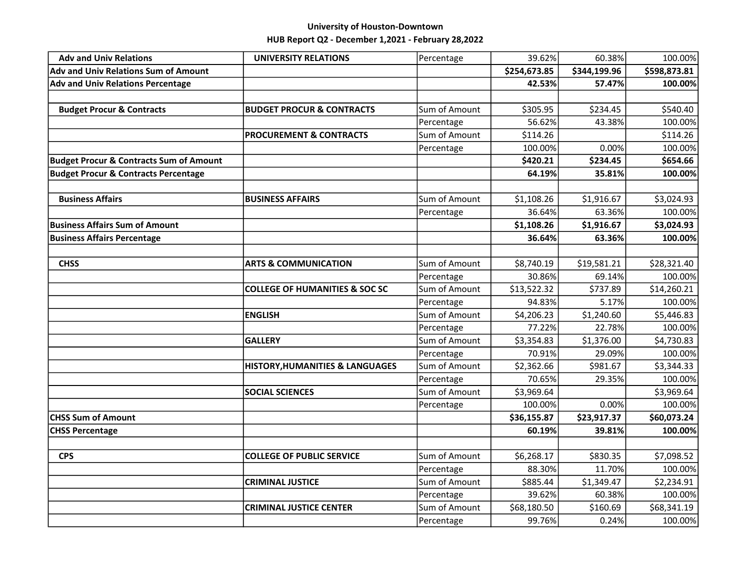| <b>Adv and Univ Relations</b>                      | <b>UNIVERSITY RELATIONS</b>                | Percentage    | 39.62%       | 60.38%       | 100.00%      |
|----------------------------------------------------|--------------------------------------------|---------------|--------------|--------------|--------------|
| <b>Adv and Univ Relations Sum of Amount</b>        |                                            |               | \$254,673.85 | \$344,199.96 | \$598,873.81 |
| <b>Adv and Univ Relations Percentage</b>           |                                            |               | 42.53%       | 57.47%       | 100.00%      |
|                                                    |                                            |               |              |              |              |
| <b>Budget Procur &amp; Contracts</b>               | <b>BUDGET PROCUR &amp; CONTRACTS</b>       | Sum of Amount | \$305.95     | \$234.45     | \$540.40     |
|                                                    |                                            | Percentage    | 56.62%       | 43.38%       | 100.00%      |
|                                                    | <b>PROCUREMENT &amp; CONTRACTS</b>         | Sum of Amount | \$114.26     |              | \$114.26     |
|                                                    |                                            | Percentage    | 100.00%      | 0.00%        | 100.00%      |
| <b>Budget Procur &amp; Contracts Sum of Amount</b> |                                            |               | \$420.21     | \$234.45     | \$654.66     |
| <b>Budget Procur &amp; Contracts Percentage</b>    |                                            |               | 64.19%       | 35.81%       | 100.00%      |
|                                                    |                                            |               |              |              |              |
| <b>Business Affairs</b>                            | <b>BUSINESS AFFAIRS</b>                    | Sum of Amount | \$1,108.26   | \$1,916.67   | \$3,024.93   |
|                                                    |                                            | Percentage    | 36.64%       | 63.36%       | 100.00%      |
| <b>Business Affairs Sum of Amount</b>              |                                            |               | \$1,108.26   | \$1,916.67   | \$3,024.93   |
| <b>Business Affairs Percentage</b>                 |                                            |               | 36.64%       | 63.36%       | 100.00%      |
|                                                    |                                            |               |              |              |              |
| <b>CHSS</b>                                        | <b>ARTS &amp; COMMUNICATION</b>            | Sum of Amount | \$8,740.19   | \$19,581.21  | \$28,321.40  |
|                                                    |                                            | Percentage    | 30.86%       | 69.14%       | 100.00%      |
|                                                    | <b>COLLEGE OF HUMANITIES &amp; SOC SC</b>  | Sum of Amount | \$13,522.32  | \$737.89     | \$14,260.21  |
|                                                    |                                            | Percentage    | 94.83%       | 5.17%        | 100.00%      |
|                                                    | <b>ENGLISH</b>                             | Sum of Amount | \$4,206.23   | \$1,240.60   | \$5,446.83   |
|                                                    |                                            | Percentage    | 77.22%       | 22.78%       | 100.00%      |
|                                                    | <b>GALLERY</b>                             | Sum of Amount | \$3,354.83   | \$1,376.00   | \$4,730.83   |
|                                                    |                                            | Percentage    | 70.91%       | 29.09%       | 100.00%      |
|                                                    | <b>HISTORY, HUMANITIES &amp; LANGUAGES</b> | Sum of Amount | \$2,362.66   | \$981.67     | \$3,344.33   |
|                                                    |                                            | Percentage    | 70.65%       | 29.35%       | 100.00%      |
|                                                    | <b>SOCIAL SCIENCES</b>                     | Sum of Amount | \$3,969.64   |              | \$3,969.64   |
|                                                    |                                            | Percentage    | 100.00%      | 0.00%        | 100.00%      |
| <b>CHSS Sum of Amount</b>                          |                                            |               | \$36,155.87  | \$23,917.37  | \$60,073.24  |
| <b>CHSS Percentage</b>                             |                                            |               | 60.19%       | 39.81%       | 100.00%      |
|                                                    |                                            |               |              |              |              |
| <b>CPS</b>                                         | <b>COLLEGE OF PUBLIC SERVICE</b>           | Sum of Amount | \$6,268.17   | \$830.35     | \$7,098.52   |
|                                                    |                                            | Percentage    | 88.30%       | 11.70%       | 100.00%      |
|                                                    | <b>CRIMINAL JUSTICE</b>                    | Sum of Amount | \$885.44     | \$1,349.47   | \$2,234.91   |
|                                                    |                                            | Percentage    | 39.62%       | 60.38%       | 100.00%      |
|                                                    | <b>CRIMINAL JUSTICE CENTER</b>             | Sum of Amount | \$68,180.50  | \$160.69     | \$68,341.19  |
|                                                    |                                            | Percentage    | 99.76%       | 0.24%        | 100.00%      |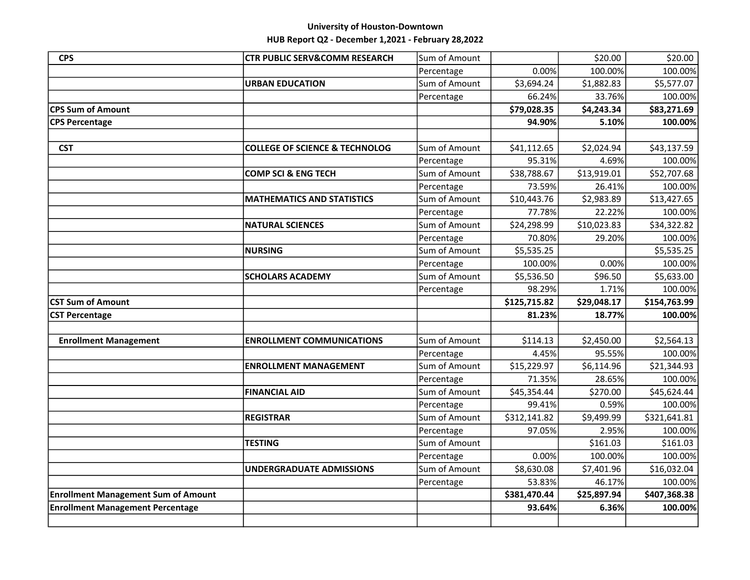| <b>CPS</b>                                 | <b>CTR PUBLIC SERV&amp;COMM RESEARCH</b>  | Sum of Amount |              | \$20.00     | \$20.00      |
|--------------------------------------------|-------------------------------------------|---------------|--------------|-------------|--------------|
|                                            |                                           | Percentage    | 0.00%        | 100.00%     | 100.00%      |
|                                            | <b>URBAN EDUCATION</b>                    | Sum of Amount | \$3,694.24   | \$1,882.83  | \$5,577.07   |
|                                            |                                           | Percentage    | 66.24%       | 33.76%      | 100.00%      |
| <b>CPS Sum of Amount</b>                   |                                           |               | \$79,028.35  | \$4,243.34  | \$83,271.69  |
| <b>CPS Percentage</b>                      |                                           |               | 94.90%       | 5.10%       | 100.00%      |
|                                            |                                           |               |              |             |              |
| <b>CST</b>                                 | <b>COLLEGE OF SCIENCE &amp; TECHNOLOG</b> | Sum of Amount | \$41,112.65  | \$2,024.94  | \$43,137.59  |
|                                            |                                           | Percentage    | 95.31%       | 4.69%       | 100.00%      |
|                                            | <b>COMP SCI &amp; ENG TECH</b>            | Sum of Amount | \$38,788.67  | \$13,919.01 | \$52,707.68  |
|                                            |                                           | Percentage    | 73.59%       | 26.41%      | 100.00%      |
|                                            | <b>MATHEMATICS AND STATISTICS</b>         | Sum of Amount | \$10,443.76  | \$2,983.89  | \$13,427.65  |
|                                            |                                           | Percentage    | 77.78%       | 22.22%      | 100.00%      |
|                                            | <b>NATURAL SCIENCES</b>                   | Sum of Amount | \$24,298.99  | \$10,023.83 | \$34,322.82  |
|                                            |                                           | Percentage    | 70.80%       | 29.20%      | 100.00%      |
|                                            | <b>NURSING</b>                            | Sum of Amount | \$5,535.25   |             | \$5,535.25   |
|                                            |                                           | Percentage    | 100.00%      | 0.00%       | 100.00%      |
|                                            | <b>SCHOLARS ACADEMY</b>                   | Sum of Amount | \$5,536.50   | \$96.50     | \$5,633.00   |
|                                            |                                           | Percentage    | 98.29%       | 1.71%       | 100.00%      |
| <b>CST Sum of Amount</b>                   |                                           |               | \$125,715.82 | \$29,048.17 | \$154,763.99 |
| <b>CST Percentage</b>                      |                                           |               | 81.23%       | 18.77%      | 100.00%      |
|                                            |                                           |               |              |             |              |
| <b>Enrollment Management</b>               | <b>ENROLLMENT COMMUNICATIONS</b>          | Sum of Amount | \$114.13     | \$2,450.00  | \$2,564.13   |
|                                            |                                           | Percentage    | 4.45%        | 95.55%      | 100.00%      |
|                                            | <b>ENROLLMENT MANAGEMENT</b>              | Sum of Amount | \$15,229.97  | \$6,114.96  | \$21,344.93  |
|                                            |                                           | Percentage    | 71.35%       | 28.65%      | 100.00%      |
|                                            | <b>FINANCIAL AID</b>                      | Sum of Amount | \$45,354.44  | \$270.00    | \$45,624.44  |
|                                            |                                           | Percentage    | 99.41%       | 0.59%       | 100.00%      |
|                                            | <b>REGISTRAR</b>                          | Sum of Amount | \$312,141.82 | \$9,499.99  | \$321,641.81 |
|                                            |                                           | Percentage    | 97.05%       | 2.95%       | 100.00%      |
|                                            | <b>TESTING</b>                            | Sum of Amount |              | \$161.03    | \$161.03     |
|                                            |                                           | Percentage    | 0.00%        | 100.00%     | 100.00%      |
|                                            | <b>UNDERGRADUATE ADMISSIONS</b>           | Sum of Amount | \$8,630.08   | \$7,401.96  | \$16,032.04  |
|                                            |                                           | Percentage    | 53.83%       | 46.17%      | 100.00%      |
| <b>Enrollment Management Sum of Amount</b> |                                           |               | \$381,470.44 | \$25,897.94 | \$407,368.38 |
| <b>Enrollment Management Percentage</b>    |                                           |               |              |             |              |
|                                            |                                           |               | 93.64%       | 6.36%       | 100.00%      |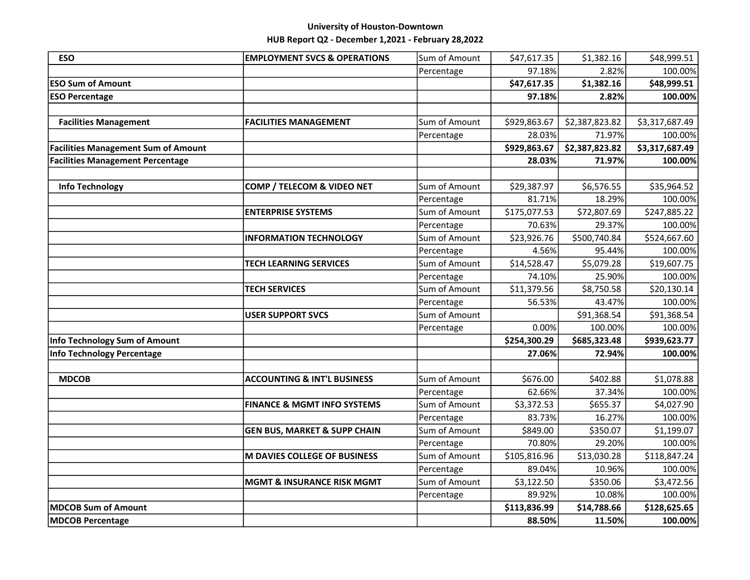| <b>ESO</b>                                 | <b>EMPLOYMENT SVCS &amp; OPERATIONS</b> | Sum of Amount | \$47,617.35  | \$1,382.16     | \$48,999.51    |
|--------------------------------------------|-----------------------------------------|---------------|--------------|----------------|----------------|
|                                            |                                         | Percentage    | 97.18%       | 2.82%          | 100.00%        |
| <b>ESO Sum of Amount</b>                   |                                         |               | \$47,617.35  | \$1,382.16     | \$48,999.51    |
| <b>ESO Percentage</b>                      |                                         |               | 97.18%       | 2.82%          | 100.00%        |
|                                            |                                         |               |              |                |                |
| <b>Facilities Management</b>               | <b>FACILITIES MANAGEMENT</b>            | Sum of Amount | \$929,863.67 | \$2,387,823.82 | \$3,317,687.49 |
|                                            |                                         | Percentage    | 28.03%       | 71.97%         | 100.00%        |
| <b>Facilities Management Sum of Amount</b> |                                         |               | \$929,863.67 | \$2,387,823.82 | \$3,317,687.49 |
| <b>Facilities Management Percentage</b>    |                                         |               | 28.03%       | 71.97%         | 100.00%        |
|                                            |                                         |               |              |                |                |
| <b>Info Technology</b>                     | COMP / TELECOM & VIDEO NET              | Sum of Amount | \$29,387.97  | \$6,576.55     | \$35,964.52    |
|                                            |                                         | Percentage    | 81.71%       | 18.29%         | 100.00%        |
|                                            | <b>ENTERPRISE SYSTEMS</b>               | Sum of Amount | \$175,077.53 | \$72,807.69    | \$247,885.22   |
|                                            |                                         | Percentage    | 70.63%       | 29.37%         | 100.00%        |
|                                            | <b>INFORMATION TECHNOLOGY</b>           | Sum of Amount | \$23,926.76  | \$500,740.84   | \$524,667.60   |
|                                            |                                         | Percentage    | 4.56%        | 95.44%         | 100.00%        |
|                                            | <b>TECH LEARNING SERVICES</b>           | Sum of Amount | \$14,528.47  | \$5,079.28     | \$19,607.75    |
|                                            |                                         | Percentage    | 74.10%       | 25.90%         | 100.00%        |
|                                            | <b>TECH SERVICES</b>                    | Sum of Amount | \$11,379.56  | \$8,750.58     | \$20,130.14    |
|                                            |                                         | Percentage    | 56.53%       | 43.47%         | 100.00%        |
|                                            | <b>USER SUPPORT SVCS</b>                | Sum of Amount |              | \$91,368.54    | \$91,368.54    |
|                                            |                                         | Percentage    | 0.00%        | 100.00%        | 100.00%        |
| Info Technology Sum of Amount              |                                         |               | \$254,300.29 | \$685,323.48   | \$939,623.77   |
| Info Technology Percentage                 |                                         |               | 27.06%       | 72.94%         | 100.00%        |
|                                            |                                         |               |              |                |                |
| <b>MDCOB</b>                               | <b>ACCOUNTING &amp; INT'L BUSINESS</b>  | Sum of Amount | \$676.00     | \$402.88       | \$1,078.88     |
|                                            |                                         | Percentage    | 62.66%       | 37.34%         | 100.00%        |
|                                            | <b>FINANCE &amp; MGMT INFO SYSTEMS</b>  | Sum of Amount | \$3,372.53   | \$655.37       | \$4,027.90     |
|                                            |                                         | Percentage    | 83.73%       | 16.27%         | 100.00%        |
|                                            | <b>GEN BUS, MARKET &amp; SUPP CHAIN</b> | Sum of Amount | \$849.00     | \$350.07       | \$1,199.07     |
|                                            |                                         | Percentage    | 70.80%       | 29.20%         | 100.00%        |
|                                            | M DAVIES COLLEGE OF BUSINESS            | Sum of Amount | \$105,816.96 | \$13,030.28    | \$118,847.24   |
|                                            |                                         | Percentage    | 89.04%       | 10.96%         | 100.00%        |
|                                            | <b>MGMT &amp; INSURANCE RISK MGMT</b>   | Sum of Amount | \$3,122.50   | \$350.06       | \$3,472.56     |
|                                            |                                         | Percentage    | 89.92%       | 10.08%         | 100.00%        |
| <b>MDCOB Sum of Amount</b>                 |                                         |               | \$113,836.99 | \$14,788.66    | \$128,625.65   |
| <b>MDCOB Percentage</b>                    |                                         |               | 88.50%       | 11.50%         | 100.00%        |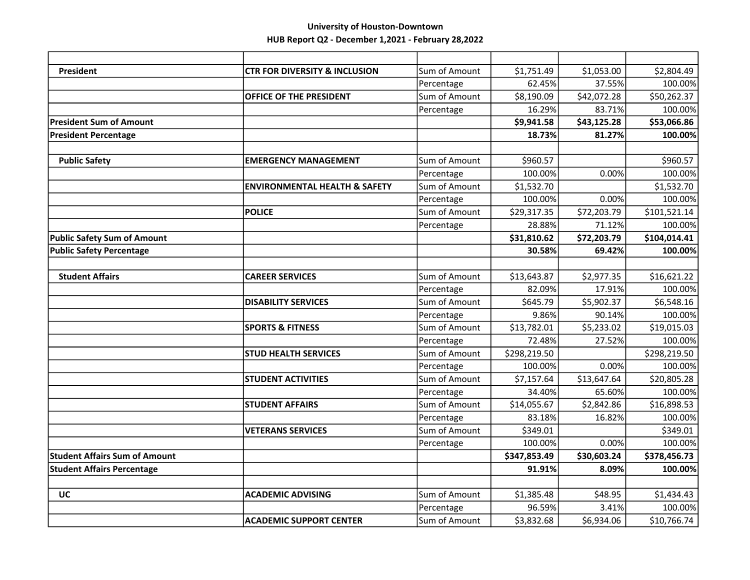| <b>President</b>                     | <b>CTR FOR DIVERSITY &amp; INCLUSION</b> | Sum of Amount | \$1,751.49   | \$1,053.00  | \$2,804.49   |
|--------------------------------------|------------------------------------------|---------------|--------------|-------------|--------------|
|                                      |                                          | Percentage    | 62.45%       | 37.55%      | 100.00%      |
|                                      | OFFICE OF THE PRESIDENT                  | Sum of Amount | \$8,190.09   | \$42,072.28 | \$50,262.37  |
|                                      |                                          | Percentage    | 16.29%       | 83.71%      | 100.00%      |
| <b>President Sum of Amount</b>       |                                          |               | \$9,941.58   | \$43,125.28 | \$53,066.86  |
| <b>President Percentage</b>          |                                          |               | 18.73%       | 81.27%      | 100.00%      |
|                                      |                                          |               |              |             |              |
| <b>Public Safety</b>                 | <b>EMERGENCY MANAGEMENT</b>              | Sum of Amount | \$960.57     |             | \$960.57     |
|                                      |                                          | Percentage    | 100.00%      | 0.00%       | 100.00%      |
|                                      | <b>ENVIRONMENTAL HEALTH &amp; SAFETY</b> | Sum of Amount | \$1,532.70   |             | \$1,532.70   |
|                                      |                                          | Percentage    | 100.00%      | 0.00%       | 100.00%      |
|                                      | <b>POLICE</b>                            | Sum of Amount | \$29,317.35  | \$72,203.79 | \$101,521.14 |
|                                      |                                          | Percentage    | 28.88%       | 71.12%      | 100.00%      |
| <b>Public Safety Sum of Amount</b>   |                                          |               | \$31,810.62  | \$72,203.79 | \$104,014.41 |
| <b>Public Safety Percentage</b>      |                                          |               | 30.58%       | 69.42%      | 100.00%      |
|                                      |                                          |               |              |             |              |
| <b>Student Affairs</b>               | <b>CAREER SERVICES</b>                   | Sum of Amount | \$13,643.87  | \$2,977.35  | \$16,621.22  |
|                                      |                                          | Percentage    | 82.09%       | 17.91%      | 100.00%      |
|                                      | <b>DISABILITY SERVICES</b>               | Sum of Amount | \$645.79     | \$5,902.37  | \$6,548.16   |
|                                      |                                          | Percentage    | 9.86%        | 90.14%      | 100.00%      |
|                                      | <b>SPORTS &amp; FITNESS</b>              | Sum of Amount | \$13,782.01  | \$5,233.02  | \$19,015.03  |
|                                      |                                          | Percentage    | 72.48%       | 27.52%      | 100.00%      |
|                                      | <b>STUD HEALTH SERVICES</b>              | Sum of Amount | \$298,219.50 |             | \$298,219.50 |
|                                      |                                          | Percentage    | 100.00%      | 0.00%       | 100.00%      |
|                                      | <b>STUDENT ACTIVITIES</b>                | Sum of Amount | \$7,157.64   | \$13,647.64 | \$20,805.28  |
|                                      |                                          | Percentage    | 34.40%       | 65.60%      | 100.00%      |
|                                      | <b>STUDENT AFFAIRS</b>                   | Sum of Amount | \$14,055.67  | \$2,842.86  | \$16,898.53  |
|                                      |                                          | Percentage    | 83.18%       | 16.82%      | 100.00%      |
|                                      | <b>VETERANS SERVICES</b>                 | Sum of Amount | \$349.01     |             | \$349.01     |
|                                      |                                          | Percentage    | 100.00%      | 0.00%       | 100.00%      |
| <b>Student Affairs Sum of Amount</b> |                                          |               | \$347,853.49 | \$30,603.24 | \$378,456.73 |
| <b>Student Affairs Percentage</b>    |                                          |               | 91.91%       | 8.09%       | 100.00%      |
|                                      |                                          |               |              |             |              |
| UC                                   | <b>ACADEMIC ADVISING</b>                 | Sum of Amount | \$1,385.48   | \$48.95     | \$1,434.43   |
|                                      |                                          | Percentage    | 96.59%       | 3.41%       | 100.00%      |
|                                      | <b>ACADEMIC SUPPORT CENTER</b>           | Sum of Amount | \$3,832.68   | \$6,934.06  | \$10,766.74  |